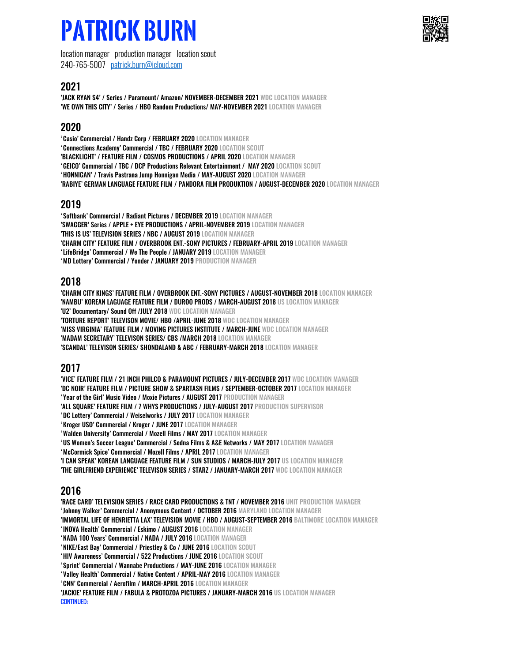# **Patrick burn**

location manager production manager location scout 240-765-5007 patrick.burn@icloud.com

# 2021

'JACK RYAN S4' / Series / Paramount/ Amazon/ NOVEMBER-DECEMBER 2021 WDC LOCATION MANAGER 'WE OWN THIS CITY' / Series / HBO Random Productions/ MAY-NOVEMBER 2021 LOCATION MANAGER

# 2020

'Casio' Commercial / Handz Corp / FEBRUARY 2020 LOCATION MANAGER 'Connections Academy' Commercial / TBC / FEBRUARY 2020 LOCATION SCOUT 'BLACKLIGHT' / FEATURE FILM / COSMOS PRODUCTIONS / APRIL 2020 LOCATION MANAGER 'GEICO' Commercial / TBC / DCP Productions Relevant Entertainment / MAY 2020 LOCATION SCOUT 'HONNIGAN' / Travis Pastrana Jump Honnigan Media / MAY-AUGUST 2020 LOCATION MANAGER 'RABIYE' GERMAN LANGUAGE FEATURE FILM / PANDORA FILM PRODUKTION / AUGUST-DECEMBER 2020 LOCATION MANAGER

# 2019

'Softbank' Commercial / Radiant Pictures / DECEMBER 2019 LOCATION MANAGER 'SWAGGER' Series / APPLE + EYE PRODUCTIONS / APRIL-NOVEMBER 2019 LOCATION MANAGER 'THIS IS US' TELEVISION SERIES / NBC / AUGUST 2019 LOCATION MANAGER 'CHARM CITY' FEATURE FILM / OVERBROOK ENT.-SONY PICTURES / FEBRUARY-APRIL 2019 LOCATION MANAGER 'LifeBridge' Commercial / We The People / JANUARY 2019 LOCATION MANAGER 'MD Lottery' Commercial / Yonder / JANUARY 2019 PRODUCTION MANAGER

# 2018

'CHARM CITY KINGS' FEATURE FILM / OVERBROOK ENT.-SONY PICTURES / AUGUST-NOVEMBER 2018 LOCATION MANAGER 'NAMBU' KOREAN LAGUAGE FEATURE FILM / DUROO PRODS / MARCH-AUGUST 2018 US LOCATION MANAGER 'U2' Documentary/ Sound Off /JULY 2018 WDC LOCATION MANAGER 'TORTURE REPORT' TELEVISON MOVIE/ HBO /APRIL-JUNE 2018 WDC LOCATION MANAGER 'MISS VIRGINIA' FEATURE FILM / MOVING PICTURES INSTITUTE / MARCH-JUNE WDC LOCATION MANAGER 'MADAM SECRETARY' TELEVISON SERIES/ CBS /MARCH 2018 LOCATION MANAGER 'SCANDAL' TELEVISON SERIES/ SHONDALAND & ABC / FEBRUARY-MARCH 2018 LOCATION MANAGER

# 2017

'VICE' FEATURE FILM / 21 INCH PHILCO & PARAMOUNT PICTURES / JULY-DECEMBER 2017 WDC LOCATION MANAGER 'DC NOIR' FEATURE FILM / PICTURE SHOW & SPARTASN FILMS / SEPTEMBER-OCTOBER 2017 LOCATION MANAGER 'Year of the Girl' Music Video / Moxie Pictures / AUGUST 2017 PRODUCTION MANAGER

'ALL SOUARE' FEATURE FILM / 7 WHYS PRODUCTIONS / JULY-AUGUST 2017 PRODUCTION SUPERVISOR

'DC Lottery' Commercial / Weiselworks / JULY 2017 LOCATION MANAGER

'Kroger USO' Commercial / Kroger / JUNE 2017 LOCATION MANAGER

'Walden University' Commercial / Mozell Films / MAY 2017 LOCATION MANAGER

'US Women's Soccer League' Commercial / Sedna Films & A&E Networks / MAY 2017 LOCATION MANAGER

'McCormick Spice' Commercial / Mozell Films / APRIL 2017 LOCATION MANAGER

'I CAN SPEAK' KOREAN LANGUAGE FEATURE FILM / SUN STUDIOS / MARCH-JULY 2017 US LOCATION MANAGER

'THE GIRLFRIEND EXPERIENCE' TELEVISON SERIES / STARZ / JANUARY-MARCH 2017 WDC LOCATION MANAGER

# 2016

'RACE CARD' TELEVISION SERIES / RACE CARD PRODUCTIONS & TNT / NOVEMBER 2016 UNIT PRODUCTION MANAGER

'Johnny Walker' Commercial / Anonymous Content / OCTOBER 2016 MARYLAND LOCATION MANAGER

'IMMORTAL LIFE OF HENRIETTA LAX' TELEVISION MOVIE / HBO / AUGUST-SEPTEMBER 2016 BALTIMORE LOCATION MANAGER

'INOVA Health' Commercial / Eskimo / AUGUST 2016 LOCATION MANAGER

'NADA 100 Years' Commercial / NADA / JULY 2016 LOCATION MANAGER

'NIKE/East Bay' Commercial / Priestley & Co / JUNE 2016 LOCATION SCOUT

'HIV Awareness' Commercial / 522 Productions / JUNE 2016 LOCATION SCOUT

'Sprint' Commercial / Wannabe Productions / MAY-JUNE 2016 LOCATION MANAGER

'Valley Health' Commercial / Native Content / APRIL-MAY 2016 LOCATION MANAGER

'CNN' Commercial / Aerofilm / MARCH-APRIL 2016 LOCATION MANAGER

'JACKIE' FEATURE FILM / FABULA & PROTOZOA PICTURES / JANUARY-MARCH 2016 US LOCATION MANAGER CONTINUED: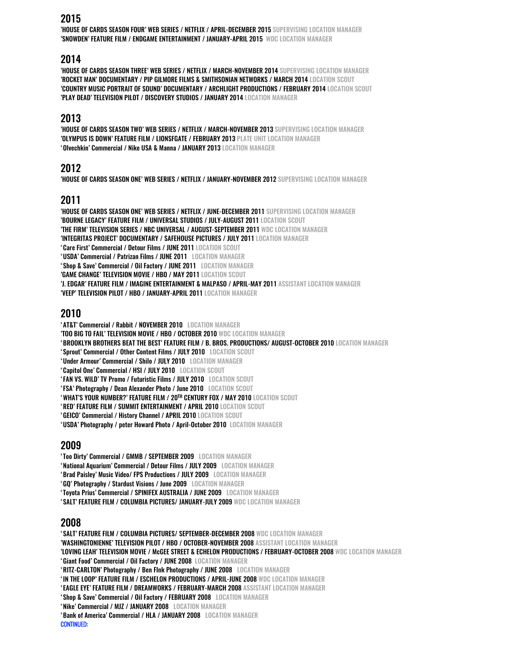#### 2015

'HOUSE OF CARDS SEASON FOUR' WEB SERIES / NETFLIX / APRIL-DECEMBER 2015 SUPERVISING LOCATION MANAGER 'SNOWDEN' FEATURE FILM / ENDGAME ENTERTAINMENT / JANUARY-APRIL 2015 WDC LOCATION MANAGER

#### 2014

'HOUSE OF CARDS SEASON THREE' WEB SERIES / NETFLIX / MARCH-NOVEMBER 2014 SUPERVISING LOCATION MANAGER 'ROCKET MAN' DOCUMENTARY / PIP GILMORE FILMS & SMITHSONIAN NETWORKS / MARCH 2014 LOCATION SCOUT 'COUNTRY MUSIC PORTRAIT OF SOUND' DOCUMENTARY / ARCHLIGHT PRODUCTIONS / FEBRUARY 2014 LOCATION SCOUT 'PLAY DEAD' TELEVISION PILOT / DISCOVERY STUDIOS / JANUARY 2014 LOCATION MANAGER

### 2013

'HOUSE OF CARDS SEASON TWO' WEB SERIES / NETFLIX / MARCH-NOVEMBER 2013 SUPERVISING LOCATION MANAGER 'OLYMPUS IS DOWN' FEATURE FILM / LIONSFGATE / FEBRUARY 2013 PLATE UNIT LOCATION MANAGER 'Olvechkin' Commercial / Nike USA & Manna / JANUARY 2013 LOCATION MANAGER

### 2012

'HOUSE OF CARDS SEASON ONE' WEB SERIES / NETFLIX / JANUARY-NOVEMBER 2012 SUPERVISING LOCATION MANAGER

# 2011

'HOUSE OF CARDS SEASON ONE' WEB SERIES / NETFLIX / JUNE-DECEMBER 2011 SUPERVISING LOCATION MANAGER 'BOURNE LEGACY' FEATURE FILM / UNIVERSAL STUDIOS / JULY-AUGUST 2011 LOCATION SCOUT 'THE FIRM' TELEVISION SERIES / NBC UNIVERSAL / AUGUST-SEPTEMBER 2011 WDC LOCATION MANAGER 'INTEGRITAS PROJECT' DOCUMENTARY / SAFEHOUSE PICTURES / JULY 2011 LOCATION MANAGER 'Care First' Commercial / Detour Films / JUNE 2011 LOCATION SCOUT 'USDA' Commercial / Patrizan Films / JUNE 2011 LOCATION MANAGER 'Shop & Save' Commercial / Oil Factory / JUNE 2011 LOCATION MANAGER 'GAME CHANGE' TELEVISION MOVIE / HBO / MAY 2011 LOCATION SCOUT 'J. EDGAR' FEATURE FILM / IMAGINE ENTERTAINMENT & MALPASO / APRIL-MAY 2011 ASSISTANT LOCATION MANAGER 'VEEP' TELEVISION PILOT / HBO / JANUARY-APRIL 2011 LOCATION MANAGER

# 2010

'AT&T' Commercial / Rabbit / NOVEMBER 2010 LOCATION MANAGER 'TOO BIG TO FAIL' TELEVISION MOVIE / HBO / OCTOBER 2010 WDC LOCATION MANAGER 'BROOKLYN BROTHERS BEAT THE BEST' FEATURE FILM / B. BROS. PRODUCTIONS/ AUGUST-OCTOBER 2010 LOCATION MANAGER 'Sprout' Commercial / Other Content Films / JULY 2010 LOCATION SCOUT 'Under Armour' Commercial / Shilo / JULY 2010 LOCATION MANAGER 'Capitol One' Commercial / HSI / JULY 2010 LOCATION SCOUT 'FAN VS. WILD' TV Promo / Futuristic Films / JULY 2010 LOCATION SCOUT 'FSA' Photography / Dean Alexander Photo / June 2010 LOCATION SCOUT 'WHAT'S YOUR NUMBER?' FEATURE FILM / 20TH CENTURY FOX / MAY 2010 LOCATION SCOUT 'RED' FEATURE FILM / SUMMIT ENTERTAINMENT / APRIL 2010 LOCATION SCOUT 'GEICO' Commercial / History Channel / APRIL 2010 LOCATION SCOUT 'USDA' Photography / peter Howard Photo / April-October 2010 LOCATION MANAGER

# 2009

'Too Dirty' Commercial / GMMB / SEPTEMBER 2009 LOCATION MANAGER

'National Aquarium' Commercial / Detour Films / JULY 2009 LOCATION MANAGER

'Brad Paisley' Music Video/ FPS Productions / JULY 2009 LOCATION MANAGER

'GQ' Photography / Stardust Visions / June 2009 LOCATION MANAGER

'Toyota Prius' Commercial / SPINIFEX AUSTRALIA / JUNE 2009 LOCATION MANAGER

'SALT' FEATURE FILM / COLUMBIA PICTURES/ JANUARY-JULY 2009 WDC LOCATION MANAGER

#### 2008

'SALT' FEATURE FILM / COLUMBIA PICTURES/ SEPTEMBER-DECEMBER 2008 WDC LOCATION MANAGER 'WASHINGTONIENNE' TELEVISION PILOT / HBO / OCTOBER-NOVEMBER 2008 ASSISTANT LOCATION MANAGER 'LOVING LEAH' TELEVISION MOVIE / McGEE STREET & ECHELON PRODUCTIONS / FEBRUARY-OCTOBER 2008 WDC LOCATION MANAGER 'Giant Food' Commercial / Oil Factory / JUNE 2008 LOCATION MANAGER 'RITZ-CARLTON' Photography / Ben FInk Photography / JUNE 2008 LOCATION MANAGER

'IN THE LOOP' FEATURE FILM / ESCHELON PRODUCTIONS / APRIL-JUNE 2008 WDC LOCATION MANAGER

'EAGLE EYE' FEATURE FILM / DREAMWORKS / FEBRUARY-MARCH 2008 ASSISTANT LOCATION MANAGER

'Shop & Save' Commercial / Oil Factory / FEBRUARY 2008 LOCATION MANAGER

'Nike' Commercial / MJZ / JANUARY 2008 LOCATION MANAGER

'Bank of America' Commercial / HLA / JANUARY 2008 LOCATION MANAGER CONTINUED: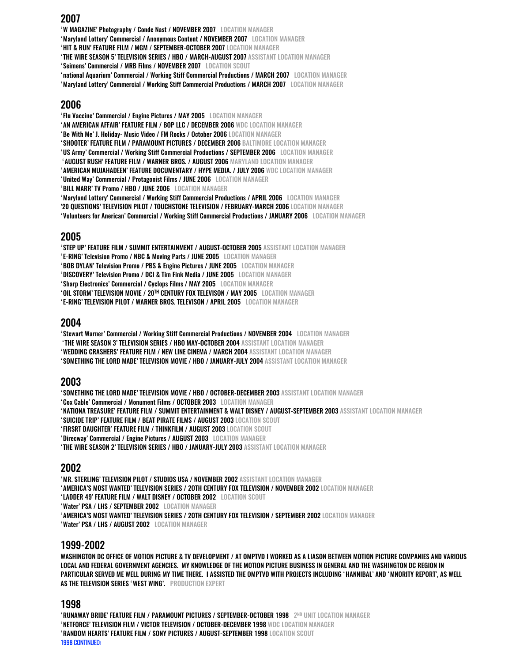#### 2007

'W MAGAZINE' Photography / Conde Nast / NOVEMBER 2007 LOCATION MANAGER

'Maryland Lottery' Commercial / Anonymous Content / NOVEMBER 2007 LOCATION MANAGER

'HIT & RUN' FEATURE FILM / MGM / SEPTEMBER-OCTOBER 2007 LOCATION MANAGER

'THE WIRE SEASON 5' TELEVISION SERIES / HBO / MARCH-AUGUST 2007 ASSISTANT LOCATION MANAGER

'Seimens' Commercial / MRB Films / NOVEMBER 2007 LOCATION SCOUT

'national Aquarium' Commercial / Working Stiff Commercial Productions / MARCH 2007 LOCATION MANAGER

'Maryland Lottery' Commercial / Working Stiff Commercial Productions / MARCH 2007 LOCATION MANAGER

#### 2006

'Flu Vaccine' Commercial / Engine Pictures / MAY 2005 LOCATION MANAGER

'AN AMERICAN AFFAIR' FEATURE FILM / BOP LLC / DECEMBER 2006 WDC LOCATION MANAGER

'Be With Me' J. Holiday- Music Video / FM Rocks / October 2006 LOCATION MANAGER

'SHOOTER' FEATURE FILM / PARAMOUNT PICTURES / DECEMBER 2006 BALTIMORE LOCATION MANAGER

'US Army' Commercial / Working Stiff Commercial Productions / SEPTEMBER 2006 LOCATION MANAGER

'AUGUST RUSH' FEATURE FILM / WARNER BROS. / AUGUST 2006 MARYLAND LOCATION MANAGER

'AMERICAN MUJAHADEEN' FEATURE DOCUMENTARY / HYPE MEDIA. / JULY 2006 WDC LOCATION MANAGER

'United Way' Commercial / Protagonist Films / JUNE 2006 LOCATION MANAGER

'BILL MARR' TV Promo / HBO / JUNE 2006 LOCATION MANAGER

'Maryland Lottery' Commercial / Working Stiff Commercial Productions / APRIL 2006 LOCATION MANAGER

'20 QUESTIONS' TELEVISION PILOT / TOUCHSTONE TELEVISION / FEBRUARY-MARCH 2006 LOCATION MANAGER 'Volunteers for Anerican' Commercial / Working Stiff Commercial Productions / JANUARY 2006 LOCATION MANAGER

#### 2005

'STEP UP' FEATURE FILM / SUMMIT ENTERTAINMENT / AUGUST-OCTOBER 2005 ASSISTANT LOCATION MANAGER

'E-RING' Television Promo / NBC & Moving Parts / JUNE 2005 LOCATION MANAGER

'BOB DYLAN' Television Promo / PBS & Engine Pictures / JUNE 2005 LOCATION MANAGER

'DISCOVERY' Television Promo / DCI & Tim Fink Media / JUNE 2005 LOCATION MANAGER

'Sharp Electronics' Commercial / Cyclops Films / MAY 2005 LOCATION MANAGER

'OIL STORM' TELEVISION MOVIE / 20TH CENTURY FOX TELEVISON / MAY 2005 LOCATION MANAGER

'E-RING' TELEVISION PILOT / WARNER BROS. TELEVISON / APRIL 2005 LOCATION MANAGER

# 2004

'Stewart Warner' Commercial / Working Stiff Commercial Productions / NOVEMBER 2004 LOCATION MANAGER

'THE WIRE SEASON 3' TELEVISION SERIES / HBO MAY-OCTOBER 2004 ASSISTANT LOCATION MANAGER

'WEDDING CRASHERS' FEATURE FILM / NEW LINE CINEMA / MARCH 2004 ASSISTANT LOCATION MANAGER

'SOMETHING THE LORD MADE' TELEVISION MOVIE / HBO / JANUARY-JULY 2004 ASSISTANT LOCATION MANAGER

#### 2003

'SOMETHING THE LORD MADE' TELEVISION MOVIE / HBO / OCTOBER-DECEMBER 2003 ASSISTANT LOCATION MANAGER

'Cox Cable' Commercial / Monument Films / OCTOBER 2003 LOCATION MANAGER

'NATIONA TREASURE' FEATURE FILM / SUMMIT ENTERTAINMENT & WALT DISNEY / AUGUST-SEPTEMBER 2003 ASSISTANT LOCATION MANAGER

'SUICIDE TRIP' FEATURE FILM / BEAT PIRATE FILMS / AUGUST 2003 LOCATION SCOUT

'FIRSRT DAUGHTER' FEATURE FILM / THINKFILM / AUGUST 2003 LOCATION SCOUT

'Direcway' Commercial / Engine Pictures / AUGUST 2003 LOCATION MANAGER

'THE WIRE SEASON 2' TELEVISION SERIES / HBO / JANUARY-JULY 2003 ASSISTANT LOCATION MANAGER

#### 2002

'MR. STERLING' TELEVISION PILOT / STUDIOS USA / NOVEMBER 2002 ASSISTANT LOCATION MANAGER

'AMERICA'S MOST WANTED' TELEVISION SERIES / 2OTH CENTURY FOX TELEVISION / NOVEMBER 2002 LOCATION MANAGER

'LADDER 49' FEATURE FILM / WALT DISNEY / OCTOBER 2002 LOCATION SCOUT

'Water' PSA / LHS / SEPTEMBER 2002 LOCATION MANAGER

'AMERICA'S MOST WANTED' TELEVISION SERIES / 2OTH CENTURY FOX TELEVISION / SEPTEMBER 2002 LOCATION MANAGER

'Water' PSA / LHS / AUGUST 2002 LOCATION MANAGER

#### 1999-2002

WASHINGTON DC OFFICE OF MOTION PICTURE & TV DEVELOPMENT / AT OMPTVD I WORKED AS A LIASON BETWEEN MOTION PICTURE COMPANIES AND VARIOUS LOCAL AND FEDERAL GOVERNMENT AGENCIES. MY KNOWLEDGE OF THE MOTION PICTURE BUSINESS IN GENERAL AND THE WASHINGTON DC REGION IN PARTICULAR SERVED ME WELL DURING MY TIME THERE. I ASSISTED THE OMPTVD WITH PROJECTS INCLUDING 'HANNIBAL' AND 'MNORITY REPORT', AS WELL AS THE TELEVISION SERIES 'WEST WING'. PRODUCTION EXPERT

#### 1998

'RUNAWAY BRIDE' FEATURE FILM / PARAMOUNT PICTURES / SEPTEMBER-OCTOBER 1998 2ND UNIT LOCATION MANAGER 'NETFORCE' TELEVISION FILM / VICTOR TELEVISION / OCTOBER-DECEMBER 1998 WDC LOCATION MANAGER 'RANDOM HEARTS' FEATURE FILM / SONY PICTURES / AUGUST-SEPTEMBER 1998 LOCATION SCOUT 1998 CONTINUED: